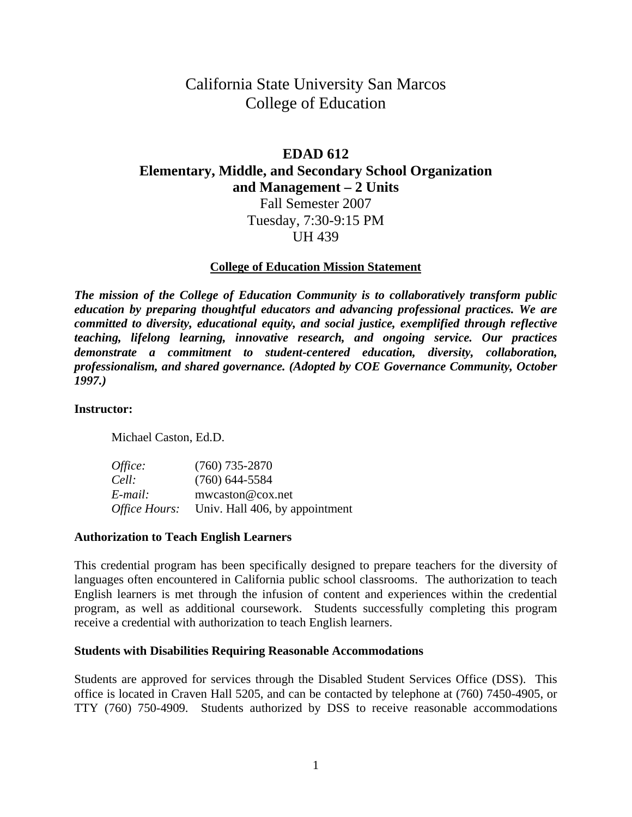# California State University San Marcos College of Education

# **EDAD 612**

**Elementary, Middle, and Secondary School Organization** 

**and Management – 2 Units**

Fall Semester 2007 Tuesday, 7:30-9:15 PM UH 439

# **College of Education Mission Statement**

*The mission of the College of Education Community is to collaboratively transform public education by preparing thoughtful educators and advancing professional practices. We are committed to diversity, educational equity, and social justice, exemplified through reflective teaching, lifelong learning, innovative research, and ongoing service. Our practices demonstrate a commitment to student-centered education, diversity, collaboration, professionalism, and shared governance. (Adopted by COE Governance Community, October 1997.)* 

#### **Instructor:**

Michael Caston, Ed.D.

| Office:                     | $(760)$ 735-2870               |
|-----------------------------|--------------------------------|
| Cell:                       | $(760)$ 644-5584               |
| E-mail:                     | mwcaston@cox.net               |
| <i><b>Office Hours:</b></i> | Univ. Hall 406, by appointment |

#### **Authorization to Teach English Learners**

This credential program has been specifically designed to prepare teachers for the diversity of languages often encountered in California public school classrooms. The authorization to teach English learners is met through the infusion of content and experiences within the credential program, as well as additional coursework. Students successfully completing this program receive a credential with authorization to teach English learners.

#### **Students with Disabilities Requiring Reasonable Accommodations**

Students are approved for services through the Disabled Student Services Office (DSS). This office is located in Craven Hall 5205, and can be contacted by telephone at (760) 7450-4905, or TTY (760) 750-4909. Students authorized by DSS to receive reasonable accommodations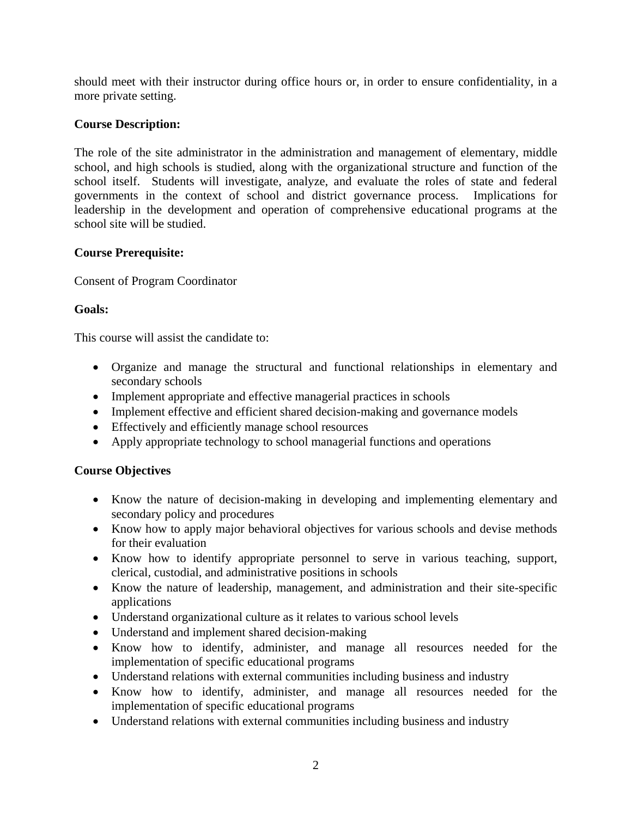should meet with their instructor during office hours or, in order to ensure confidentiality, in a more private setting.

# **Course Description:**

The role of the site administrator in the administration and management of elementary, middle school, and high schools is studied, along with the organizational structure and function of the school itself. Students will investigate, analyze, and evaluate the roles of state and federal governments in the context of school and district governance process. Implications for leadership in the development and operation of comprehensive educational programs at the school site will be studied.

# **Course Prerequisite:**

Consent of Program Coordinator

# **Goals:**

This course will assist the candidate to:

- Organize and manage the structural and functional relationships in elementary and secondary schools
- Implement appropriate and effective managerial practices in schools
- Implement effective and efficient shared decision-making and governance models
- Effectively and efficiently manage school resources
- Apply appropriate technology to school managerial functions and operations

# **Course Objectives**

- Know the nature of decision-making in developing and implementing elementary and secondary policy and procedures
- Know how to apply major behavioral objectives for various schools and devise methods for their evaluation
- Know how to identify appropriate personnel to serve in various teaching, support, clerical, custodial, and administrative positions in schools
- Know the nature of leadership, management, and administration and their site-specific applications
- Understand organizational culture as it relates to various school levels
- Understand and implement shared decision-making
- Know how to identify, administer, and manage all resources needed for the implementation of specific educational programs
- Understand relations with external communities including business and industry
- Know how to identify, administer, and manage all resources needed for the implementation of specific educational programs
- Understand relations with external communities including business and industry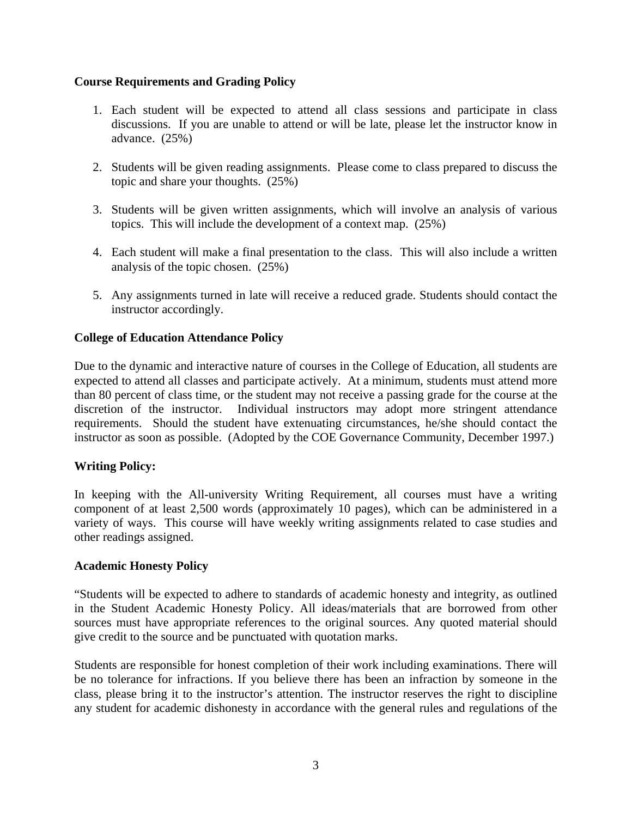# **Course Requirements and Grading Policy**

- 1. Each student will be expected to attend all class sessions and participate in class discussions. If you are unable to attend or will be late, please let the instructor know in advance. (25%)
- 2. Students will be given reading assignments. Please come to class prepared to discuss the topic and share your thoughts. (25%)
- 3. Students will be given written assignments, which will involve an analysis of various topics. This will include the development of a context map. (25%)
- 4. Each student will make a final presentation to the class. This will also include a written analysis of the topic chosen. (25%)
- 5. Any assignments turned in late will receive a reduced grade. Students should contact the instructor accordingly.

# **College of Education Attendance Policy**

Due to the dynamic and interactive nature of courses in the College of Education, all students are expected to attend all classes and participate actively. At a minimum, students must attend more than 80 percent of class time, or the student may not receive a passing grade for the course at the discretion of the instructor. Individual instructors may adopt more stringent attendance requirements. Should the student have extenuating circumstances, he/she should contact the instructor as soon as possible. (Adopted by the COE Governance Community, December 1997.)

### **Writing Policy:**

In keeping with the All-university Writing Requirement, all courses must have a writing component of at least 2,500 words (approximately 10 pages), which can be administered in a variety of ways. This course will have weekly writing assignments related to case studies and other readings assigned.

### **Academic Honesty Policy**

"Students will be expected to adhere to standards of academic honesty and integrity, as outlined in the Student Academic Honesty Policy. All ideas/materials that are borrowed from other sources must have appropriate references to the original sources. Any quoted material should give credit to the source and be punctuated with quotation marks.

Students are responsible for honest completion of their work including examinations. There will be no tolerance for infractions. If you believe there has been an infraction by someone in the class, please bring it to the instructor's attention. The instructor reserves the right to discipline any student for academic dishonesty in accordance with the general rules and regulations of the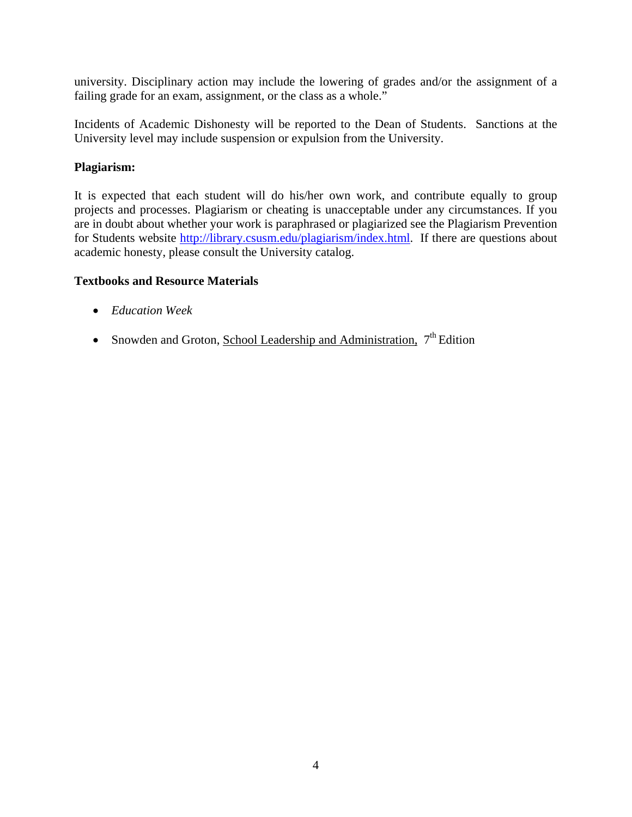university. Disciplinary action may include the lowering of grades and/or the assignment of a failing grade for an exam, assignment, or the class as a whole."

Incidents of Academic Dishonesty will be reported to the Dean of Students. Sanctions at the University level may include suspension or expulsion from the University.

# **Plagiarism:**

It is expected that each student will do his/her own work, and contribute equally to group projects and processes. Plagiarism or cheating is unacceptable under any circumstances. If you are in doubt about whether your work is paraphrased or plagiarized see the Plagiarism Prevention for Students website http://library.csusm.edu/plagiarism/index.html. If there are questions about academic honesty, please consult the University catalog.

# **Textbooks and Resource Materials**

- *Education Week*
- Snowden and Groton, School Leadership and Administration,  $7<sup>th</sup>$  Edition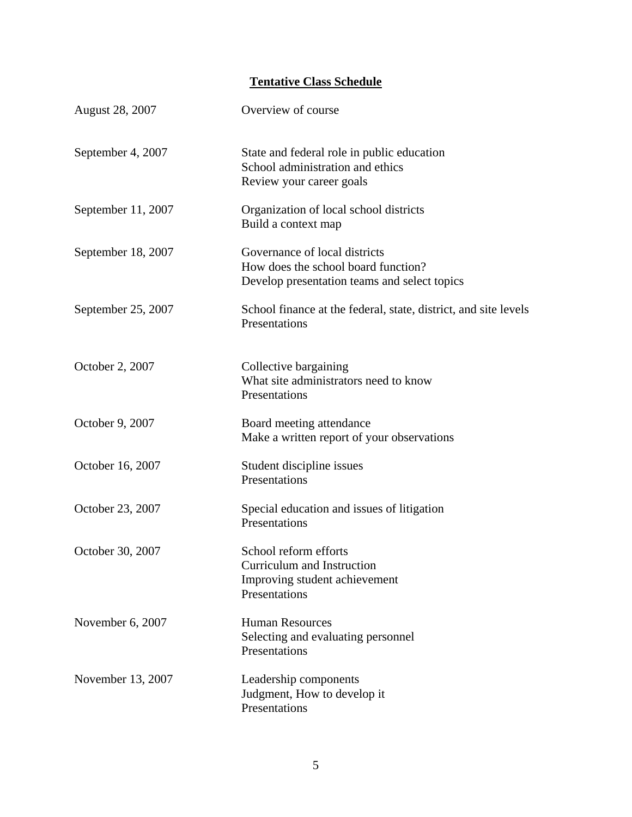# **Tentative Class Schedule**

| <b>August 28, 2007</b> | Overview of course                                                                                                   |
|------------------------|----------------------------------------------------------------------------------------------------------------------|
| September 4, 2007      | State and federal role in public education<br>School administration and ethics<br>Review your career goals           |
| September 11, 2007     | Organization of local school districts<br>Build a context map                                                        |
| September 18, 2007     | Governance of local districts<br>How does the school board function?<br>Develop presentation teams and select topics |
| September 25, 2007     | School finance at the federal, state, district, and site levels<br>Presentations                                     |
| October 2, 2007        | Collective bargaining<br>What site administrators need to know<br>Presentations                                      |
| October 9, 2007        | Board meeting attendance<br>Make a written report of your observations                                               |
| October 16, 2007       | Student discipline issues<br>Presentations                                                                           |
| October 23, 2007       | Special education and issues of litigation<br>Presentations                                                          |
| October 30, 2007       | School reform efforts<br>Curriculum and Instruction<br>Improving student achievement<br>Presentations                |
| November 6, 2007       | <b>Human Resources</b><br>Selecting and evaluating personnel<br>Presentations                                        |
| November 13, 2007      | Leadership components<br>Judgment, How to develop it<br>Presentations                                                |